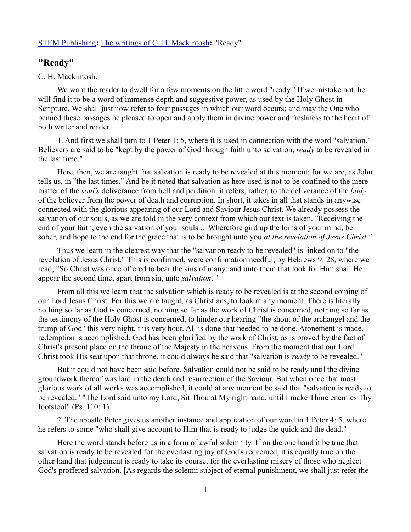## [STEM Publishing](http://www.stempublishing.com/)**:** [The writings of C. H. Mackintosh](http://www.stempublishing.com/authors/mackintosh/index.html)**:** "Ready"

## **"Ready"**

## C. H. Mackintosh.

We want the reader to dwell for a few moments on the little word "ready." If we mistake not, he will find it to be a word of immense depth and suggestive power, as used by the Holy Ghost in Scripture. We shall just now refer to four passages in which our word occurs; and may the One who penned these passages be pleased to open and apply them in divine power and freshness to the heart of both writer and reader.

1. And first we shall turn to 1 Peter 1: 5, where it is used in connection with the word "salvation." Believers are said to be "kept by the power of God through faith unto salvation, *ready* to be revealed in the last time."

Here, then, we are taught that salvation is ready to be revealed at this moment; for we are, as John tells us, in "the last times." And be it noted that salvation as here used is not to be confined to the mere matter of the *soul's* deliverance from hell and perdition: it refers, rather, to the deliverance of the *body* of the believer from the power of death and corruption. In short, it takes in all that stands in anywise connected with the glorious appearing of our Lord and Saviour Jesus Christ. We already possess the salvation of our souls, as we are told in the very context from which our text is taken. "Receiving the end of your faith, even the salvation of your souls.... Wherefore gird up the loins of your mind, be sober, and hope to the end for the grace that is to be brought unto you *at the revelation of Jesus Christ."*

Thus we learn in the clearest way that the "salvation ready to be revealed" is linked on to "the revelation of Jesus Christ." This is confirmed, were confirmation needful, by Hebrews 9: 28, where we read, "So Christ was once offered to bear the sins of many; and unto them that look for Him shall He appear the second time, apart from sin, unto *salvation*. "

From all this we learn that the salvation which is ready to be revealed is at the second coming of our Lord Jesus Christ. For this we are taught, as Christians, to look at any moment. There is literally nothing so far as God is concerned, nothing so far as the work of Christ is concerned, nothing so far as the testimony of the Holy Ghost is concerned, to hinder our hearing "the shout of the archangel and the trump of God" this very night, this very hour. All is done that needed to be done. Atonement is made, redemption is accomplished, God has been glorified by the work of Christ, as is proved by the fact of Christ's present place on the throne of the Majesty in the heavens. From the moment that our Lord Christ took His seat upon that throne, it could always be said that "salvation is *ready* to be revealed."

But it could not have been said before. Salvation could not be said to be ready until the divine groundwork thereof was laid in the death and resurrection of the Saviour. But when once that most glorious work of all works was accomplished, it could at any moment be said that "salvation is ready to be revealed." "The Lord said unto my Lord, Sit Thou at My right hand, until I make Thine enemies Thy footstool" (Ps. 110: 1).

2. The apostle Peter gives us another instance and application of our word in 1 Peter 4: 5, where he refers to some "who shall give account to Him that is ready to judge the quick and the dead."

Here the word stands before us in a form of awful solemnity. If on the one hand it be true that salvation is ready to be revealed for the everlasting joy of God's redeemed, it is equally true on the other hand that judgement is ready to take its course, for the everlasting misery of those who neglect God's proffered salvation. [As regards the solemn subject of eternal punishment, we shall just refer the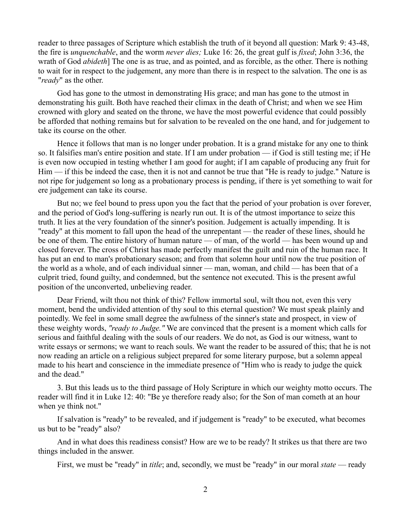reader to three passages of Scripture which establish the truth of it beyond all question: Mark 9: 43-48, the fire is *unquenchable*, and the worm *never dies;* Luke 16: 26, the great gulf is *fixed*; John 3:36, the wrath of God *abideth*] The one is as true, and as pointed, and as forcible, as the other. There is nothing to wait for in respect to the judgement, any more than there is in respect to the salvation. The one is as "*ready*" as the other.

God has gone to the utmost in demonstrating His grace; and man has gone to the utmost in demonstrating his guilt. Both have reached their climax in the death of Christ; and when we see Him crowned with glory and seated on the throne, we have the most powerful evidence that could possibly be afforded that nothing remains but for salvation to be revealed on the one hand, and for judgement to take its course on the other.

Hence it follows that man is no longer under probation. It is a grand mistake for any one to think so. It falsifies man's entire position and state. If I am under probation — if God is still testing me; if He is even now occupied in testing whether I am good for aught; if I am capable of producing any fruit for Him — if this be indeed the case, then it is not and cannot be true that "He is ready to judge." Nature is not ripe for judgement so long as a probationary process is pending, if there is yet something to wait for ere judgement can take its course.

But no; we feel bound to press upon you the fact that the period of your probation is over forever, and the period of God's long-suffering is nearly run out. It is of the utmost importance to seize this truth. It lies at the very foundation of the sinner's position. Judgement is actually impending. It is "ready" at this moment to fall upon the head of the unrepentant — the reader of these lines, should he be one of them. The entire history of human nature — of man, of the world — has been wound up and closed forever. The cross of Christ has made perfectly manifest the guilt and ruin of the human race. It has put an end to man's probationary season; and from that solemn hour until now the true position of the world as a whole, and of each individual sinner — man, woman, and child — has been that of a culprit tried, found guilty, and condemned, but the sentence not executed. This is the present awful position of the unconverted, unbelieving reader.

Dear Friend, wilt thou not think of this? Fellow immortal soul, wilt thou not, even this very moment, bend the undivided attention of thy soul to this eternal question? We must speak plainly and pointedly. We feel in some small degree the awfulness of the sinner's state and prospect, in view of these weighty words, *"ready to Judge."* We are convinced that the present is a moment which calls for serious and faithful dealing with the souls of our readers. We do not, as God is our witness, want to write essays or sermons; we want to reach souls. We want the reader to be assured of this; that he is not now reading an article on a religious subject prepared for some literary purpose, but a solemn appeal made to his heart and conscience in the immediate presence of "Him who is ready to judge the quick and the dead."

3. But this leads us to the third passage of Holy Scripture in which our weighty motto occurs. The reader will find it in Luke 12: 40: "Be ye therefore ready also; for the Son of man cometh at an hour when ye think not."

If salvation is "ready" to be revealed, and if judgement is "ready" to be executed, what becomes us but to be "ready" also?

And in what does this readiness consist? How are we to be ready? It strikes us that there are two things included in the answer.

First, we must be "ready" in *title*; and, secondly, we must be "ready" in our moral *state* — ready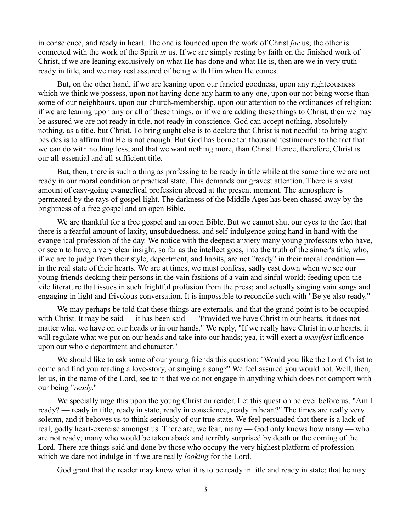in conscience, and ready in heart. The one is founded upon the work of Christ *for* us; the other is connected with the work of the Spirit *in* us. If we are simply resting by faith on the finished work of Christ, if we are leaning exclusively on what He has done and what He is, then are we in very truth ready in title, and we may rest assured of being with Him when He comes.

But, on the other hand, if we are leaning upon our fancied goodness, upon any righteousness which we think we possess, upon not having done any harm to any one, upon our not being worse than some of our neighbours, upon our church-membership, upon our attention to the ordinances of religion; if we are leaning upon any or all of these things, or if we are adding these things to Christ, then we may be assured we are not ready in title, not ready in conscience. God can accept nothing, absolutely nothing, as a title, but Christ. To bring aught else is to declare that Christ is not needful: to bring aught besides is to affirm that He is not enough. But God has borne ten thousand testimonies to the fact that we can do with nothing less, and that we want nothing more, than Christ. Hence, therefore, Christ is our all-essential and all-sufficient title.

But, then, there is such a thing as professing to be ready in title while at the same time we are not ready in our moral condition or practical state. This demands our gravest attention. There is a vast amount of easy-going evangelical profession abroad at the present moment. The atmosphere is permeated by the rays of gospel light. The darkness of the Middle Ages has been chased away by the brightness of a free gospel and an open Bible.

We are thankful for a free gospel and an open Bible. But we cannot shut our eyes to the fact that there is a fearful amount of laxity, unsubduedness, and self-indulgence going hand in hand with the evangelical profession of the day. We notice with the deepest anxiety many young professors who have, or seem to have, a very clear insight, so far as the intellect goes, into the truth of the sinner's title, who, if we are to judge from their style, deportment, and habits, are not "ready" in their moral condition in the real state of their hearts. We are at times, we must confess, sadly cast down when we see our young friends decking their persons in the vain fashions of a vain and sinful world; feeding upon the vile literature that issues in such frightful profusion from the press; and actually singing vain songs and engaging in light and frivolous conversation. It is impossible to reconcile such with "Be ye also ready."

We may perhaps be told that these things are externals, and that the grand point is to be occupied with Christ. It may be said — it has been said — "Provided we have Christ in our hearts, it does not matter what we have on our heads or in our hands." We reply, "If we really have Christ in our hearts, it will regulate what we put on our heads and take into our hands; yea, it will exert a *manifest* influence upon our whole deportment and character."

We should like to ask some of our young friends this question: "Would you like the Lord Christ to come and find you reading a love-story, or singing a song?" We feel assured you would not. Well, then, let us, in the name of the Lord, see to it that we do not engage in anything which does not comport with our being "*ready*."

We specially urge this upon the young Christian reader. Let this question be ever before us, "Am I ready? — ready in title, ready in state, ready in conscience, ready in heart?" The times are really very solemn, and it behoves us to think seriously of our true state. We feel persuaded that there is a lack of real, godly heart-exercise amongst us. There are, we fear, many — God only knows how many — who are not ready; many who would be taken aback and terribly surprised by death or the coming of the Lord. There are things said and done by those who occupy the very highest platform of profession which we dare not indulge in if we are really *looking* for the Lord.

God grant that the reader may know what it is to be ready in title and ready in state; that he may